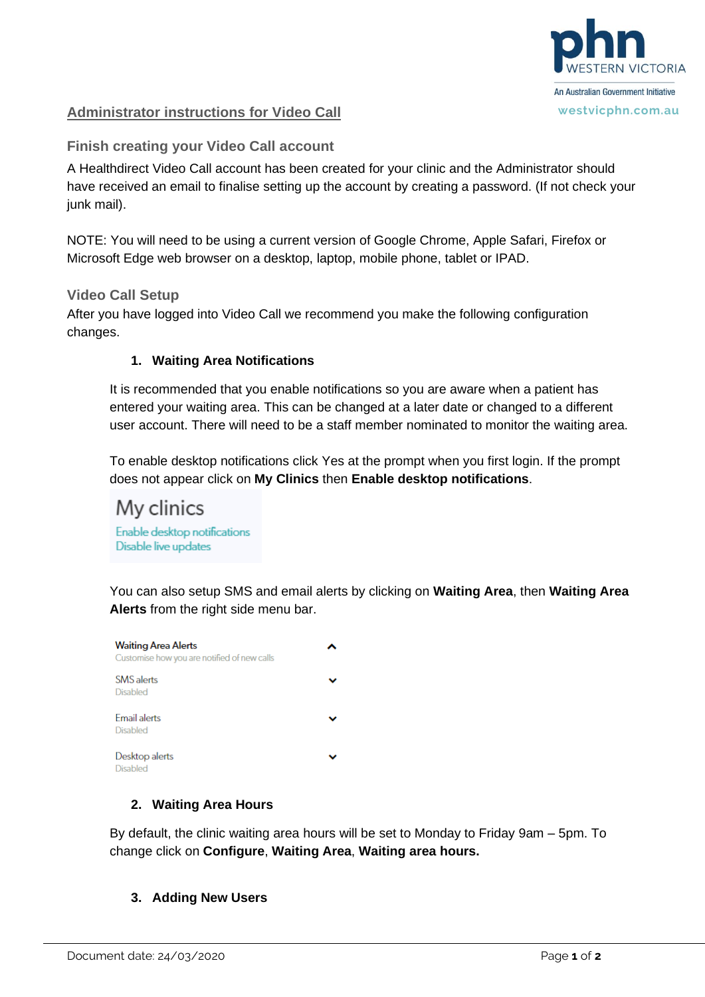

# **Administrator instructions for Video Call**

### **Finish creating your Video Call account**

A Healthdirect Video Call account has been created for your clinic and the Administrator should have received an email to finalise setting up the account by creating a password. (If not check your junk mail).

NOTE: You will need to be using a current version of Google Chrome, Apple Safari, Firefox or Microsoft Edge web browser on a desktop, laptop, mobile phone, tablet or IPAD.

#### **Video Call Setup**

After you have logged into Video Call we recommend you make the following configuration changes.

### **1. Waiting Area Notifications**

It is recommended that you enable notifications so you are aware when a patient has entered your waiting area. This can be changed at a later date or changed to a different user account. There will need to be a staff member nominated to monitor the waiting area.

To enable desktop notifications click Yes at the prompt when you first login. If the prompt does not appear click on **My Clinics** then **Enable desktop notifications**.

# My clinics Enable desktop notifications

Disable live updates

You can also setup SMS and email alerts by clicking on **Waiting Area**, then **Waiting Area Alerts** from the right side menu bar.

| <b>Waiting Area Alerts</b><br>Customise how you are notified of new calls |  |
|---------------------------------------------------------------------------|--|
| <b>SMS</b> alerts<br><b>Disabled</b>                                      |  |
| <b>Email alerts</b><br><b>Disabled</b>                                    |  |
| Desktop alerts<br><b>Disabled</b>                                         |  |

# **2. Waiting Area Hours**

By default, the clinic waiting area hours will be set to Monday to Friday 9am – 5pm. To change click on **Configure**, **Waiting Area**, **Waiting area hours.**

# **3. Adding New Users**